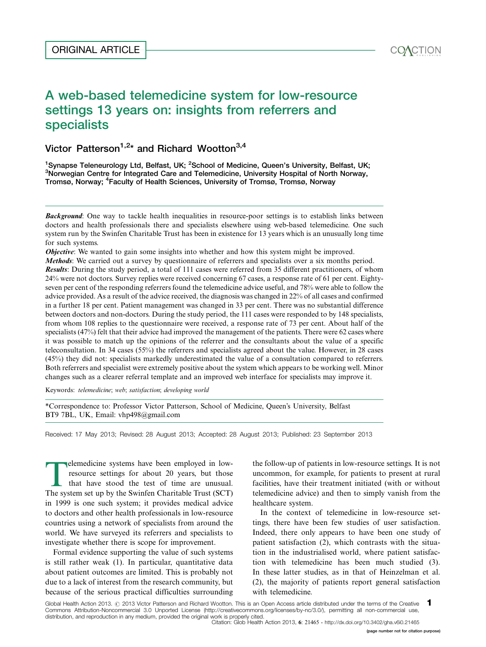

# A web-based telemedicine system for low-resource settings 13 years on: insights from referrers and specialists ORIGINAL ARTICLE<br>
A web-based telemedicine system for low-resource<br>
settings 13 years on: insights from referrers and<br>
specialists

Victor Patterson<sup>1,2\*</sup> and Richard Wootton<sup>3,4</sup>

<sup>1</sup> Synapse Teleneurology Ltd, Belfast, UK; <sup>2</sup> School of Medicine, Queen's University, Belfast, UK;<br><sup>3</sup>Norwegian Centre for Integrated Care and Telemedicine, University Hospital of North Norway. <sup>3</sup>Norwegian Centre for Integrated Care and Telemedicine, University Hospital of North Norway, Tromsø, Norway; <sup>4</sup> Faculty of Health Sciences, University of Tromsø, Tromsø, Norway

**Background**: One way to tackle health inequalities in resource-poor settings is to establish links between doctors and health professionals there and specialists elsewhere using web-based telemedicine. One such system run by the Swinfen Charitable Trust has been in existence for 13 years which is an unusually long time for such systems.

**Objective:** We wanted to gain some insights into whether and how this system might be improved. Methods: We carried out a survey by questionnaire of referrers and specialists over a six months period. Results: During the study period, a total of 111 cases were referred from 35 different practitioners, of whom 24% were not doctors. Survey replies were received concerning 67 cases, a response rate of 61 per cent. Eightyseven per cent of the responding referrers found the telemedicine advice useful, and 78% were able to follow the advice provided. As a result of the advice received, the diagnosis was changed in 22% of all cases and confirmed in a further 18 per cent. Patient management was changed in 33 per cent. There was no substantial difference between doctors and non-doctors. During the study period, the 111 cases were responded to by 148 specialists, from whom 108 replies to the questionnaire were received, a response rate of 73 per cent. About half of the specialists (47%) felt that their advice had improved the management of the patients. There were 62 cases where it was possible to match up the opinions of the referrer and the consultants about the value of a specific teleconsultation. In 34 cases (55%) the referrers and specialists agreed about the value. However, in 28 cases (45%) they did not: specialists markedly underestimated the value of a consultation compared to referrers. Both referrers and specialist were extremely positive about the system which appears to be working well. Minor changes such as a clearer referral template and an improved web interface for specialists may improve it.

Keywords: telemedicine; web; satisfaction; developing world

\*Correspondence to: Professor Victor Patterson, School of Medicine, Queen's University, Belfast BT9 7BL, UK, Email: vhp498@gmail.com

Received: 17 May 2013; Revised: 28 August 2013; Accepted: 28 August 2013; Published: 23 September 2013

relemedicine systems have been employed in lowresource settings for about 20 years, but those that have stood the test of time are unusual. The system set up by the Swinfen Charitable Trust (SCT) in 1999 is one such system; it provides medical advice to doctors and other health professionals in low-resource countries using a network of specialists from around the world. We have surveyed its referrers and specialists to investigate whether there is scope for improvement.

Formal evidence supporting the value of such systems is still rather weak (1). In particular, quantitative data about patient outcomes are limited. This is probably not due to a lack of interest from the research community, but because of the serious practical difficulties surrounding the follow-up of patients in low-resource settings. It is not uncommon, for example, for patients to present at rural facilities, have their treatment initiated (with or without telemedicine advice) and then to simply vanish from the healthcare system.

In the context of telemedicine in low-resource settings, there have been few studies of user satisfaction. Indeed, there only appears to have been one study of patient satisfaction (2), which contrasts with the situation in the industrialised world, where patient satisfaction with telemedicine has been much studied (3). In these latter studies, as in that of Heinzelman et al. (2), the majority of patients report general satisfaction with telemedicine.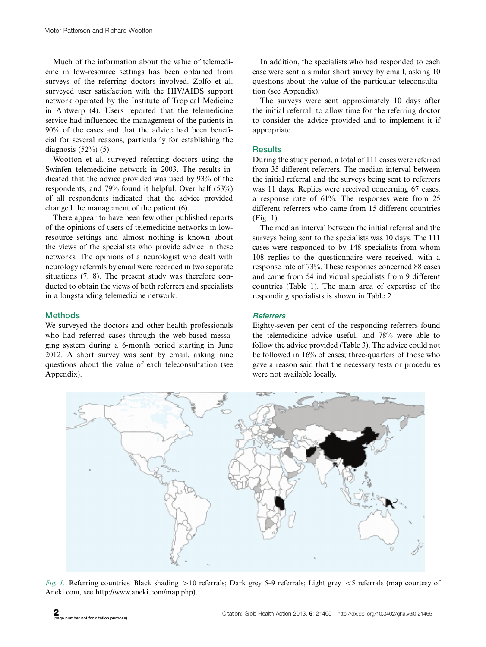Much of the information about the value of telemedicine in low-resource settings has been obtained from surveys of the referring doctors involved. Zolfo et al. surveyed user satisfaction with the HIV/AIDS support network operated by the Institute of Tropical Medicine in Antwerp (4). Users reported that the telemedicine service had influenced the management of the patients in 90% of the cases and that the advice had been beneficial for several reasons, particularly for establishing the diagnosis (52%) (5).

Wootton et al. surveyed referring doctors using the Swinfen telemedicine network in 2003. The results indicated that the advice provided was used by 93% of the respondents, and 79% found it helpful. Over half (53%) of all respondents indicated that the advice provided changed the management of the patient (6).

There appear to have been few other published reports of the opinions of users of telemedicine networks in lowresource settings and almost nothing is known about the views of the specialists who provide advice in these networks. The opinions of a neurologist who dealt with neurology referrals by email were recorded in two separate situations (7, 8). The present study was therefore conducted to obtain the views of both referrers and specialists in a longstanding telemedicine network.

# **Methods**

We surveyed the doctors and other health professionals who had referred cases through the web-based messaging system during a 6-month period starting in June 2012. A short survey was sent by email, asking nine questions about the value of each teleconsultation (see Appendix).

In addition, the specialists who had responded to each case were sent a similar short survey by email, asking 10 questions about the value of the particular teleconsultation (see Appendix).

The surveys were sent approximately 10 days after the initial referral, to allow time for the referring doctor to consider the advice provided and to implement it if appropriate.

## **Results**

During the study period, a total of 111 cases were referred from 35 different referrers. The median interval between the initial referral and the surveys being sent to referrers was 11 days. Replies were received concerning 67 cases, a response rate of 61%. The responses were from 25 different referrers who came from 15 different countries (Fig. 1).

The median interval between the initial referral and the surveys being sent to the specialists was 10 days. The 111 cases were responded to by 148 specialists from whom 108 replies to the questionnaire were received, with a response rate of 73%. These responses concerned 88 cases and came from 54 individual specialists from 9 different countries (Table 1). The main area of expertise of the responding specialists is shown in Table 2.

### Referrers

Eighty-seven per cent of the responding referrers found the telemedicine advice useful, and 78% were able to follow the advice provided (Table 3). The advice could not be followed in 16% of cases; three-quarters of those who gave a reason said that the necessary tests or procedures were not available locally.



Fig. 1. Referring countries. Black shading  $>10$  referrals; Dark grey 5–9 referrals; Light grey  $<$ 5 referrals (map courtesy of Aneki.com, see [http://www.aneki.com/map.php\)](http://www.aneki.com/map.php).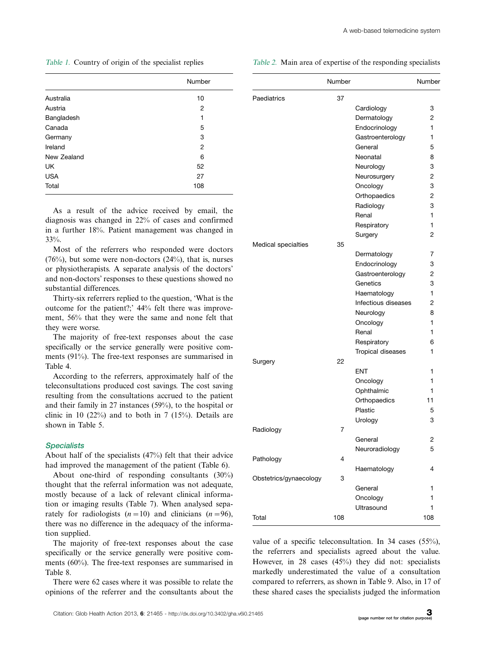|  |  |  |  |  | Table 1. Country of origin of the specialist replies |  |
|--|--|--|--|--|------------------------------------------------------|--|
|--|--|--|--|--|------------------------------------------------------|--|

|             | Number |
|-------------|--------|
| Australia   | 10     |
| Austria     | 2      |
| Bangladesh  | 1      |
| Canada      | 5      |
| Germany     | 3      |
| Ireland     | 2      |
| New Zealand | 6      |
| UK          | 52     |
| <b>USA</b>  | 27     |
| Total       | 108    |
|             |        |

As a result of the advice received by email, the diagnosis was changed in 22% of cases and confirmed in a further 18%. Patient management was changed in 33%.

Most of the referrers who responded were doctors  $(76%)$ , but some were non-doctors  $(24%)$ , that is, nurses or physiotherapists. A separate analysis of the doctors' and non-doctors' responses to these questions showed no substantial differences.

Thirty-six referrers replied to the question, 'What is the outcome for the patient?;' 44% felt there was improvement, 56% that they were the same and none felt that they were worse.

The majority of free-text responses about the case specifically or the service generally were positive comments (91%). The free-text responses are summarised in Table 4.

According to the referrers, approximately half of the teleconsultations produced cost savings. The cost saving resulting from the consultations accrued to the patient and their family in 27 instances (59%), to the hospital or clinic in 10  $(22%)$  and to both in 7  $(15%)$ . Details are shown in Table 5.

### **Specialists**

About half of the specialists (47%) felt that their advice had improved the management of the patient (Table 6).

About one-third of responding consultants (30%) thought that the referral information was not adequate, mostly because of a lack of relevant clinical information or imaging results (Table 7). When analysed separately for radiologists  $(n=10)$  and clinicians  $(n=96)$ , there was no difference in the adequacy of the information supplied.

The majority of free-text responses about the case specifically or the service generally were positive comments (60%). The free-text responses are summarised in Table 8.

There were 62 cases where it was possible to relate the opinions of the referrer and the consultants about the

### Table <sup>2</sup>. Main area of expertise of the responding specialists

|                        | Number |                     | Number                  |
|------------------------|--------|---------------------|-------------------------|
| Paediatrics            | 37     |                     |                         |
|                        |        | Cardiology          | 3                       |
|                        |        | Dermatology         | 2                       |
|                        |        | Endocrinology       | 1                       |
|                        |        | Gastroenterology    | 1                       |
|                        |        | General             | 5                       |
|                        |        | Neonatal            | 8                       |
|                        |        | Neurology           | 3                       |
|                        |        | Neurosurgery        | 2                       |
|                        |        | Oncology            | 3                       |
|                        |        | Orthopaedics        | 2                       |
|                        |        | Radiology           | 3                       |
|                        |        | Renal               | 1                       |
|                        |        | Respiratory         | 1                       |
|                        |        | Surgery             | 2                       |
| Medical specialties    | 35     |                     |                         |
|                        |        | Dermatology         | 7                       |
|                        |        | Endocrinology       | 3                       |
|                        |        | Gastroenterology    | 2                       |
|                        |        | Genetics            | 3                       |
|                        |        | Haematology         | 1                       |
|                        |        | Infectious diseases | 2                       |
|                        |        | Neurology           | 8                       |
|                        |        | Oncology            | 1                       |
|                        |        | Renal               | 1                       |
|                        |        | Respiratory         | 6                       |
|                        |        | Tropical diseases   | 1                       |
| Surgery                | 22     |                     |                         |
|                        |        | <b>ENT</b>          | 1                       |
|                        |        | Oncology            | 1                       |
|                        |        | Ophthalmic          | 1                       |
|                        |        | Orthopaedics        | 11                      |
|                        |        | Plastic             | 5                       |
|                        |        | Urology             | 3                       |
| Radiology              | 7      |                     |                         |
|                        |        | General             | $\overline{\mathbf{c}}$ |
|                        |        | Neuroradiology      | 5                       |
| Pathology              | 4      |                     |                         |
|                        |        | Haematology         | 4                       |
| Obstetrics/gynaecology | 3      |                     |                         |
|                        |        | General             | 1                       |
|                        |        | Oncology            | 1                       |
|                        |        | Ultrasound          | 1                       |
| Total                  | 108    |                     | 108                     |

value of a specific teleconsultation. In 34 cases (55%), the referrers and specialists agreed about the value. However, in 28 cases (45%) they did not: specialists markedly underestimated the value of a consultation compared to referrers, as shown in Table 9. Also, in 17 of these shared cases the specialists judged the information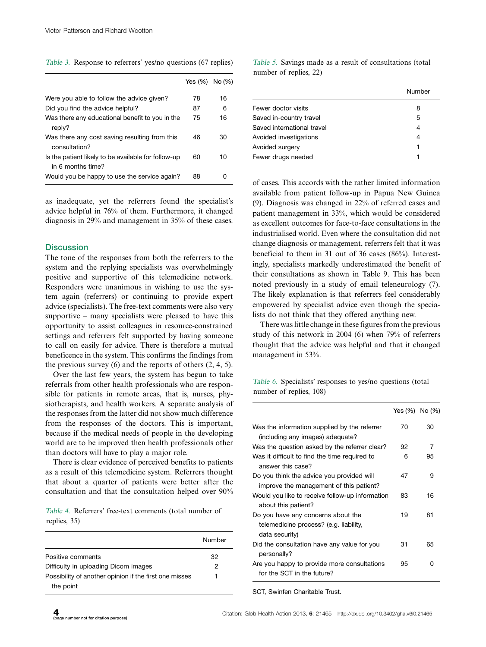Table 3. Response to referrers' yes/no questions (67 replies)

|                                                                          | Yes $(\%)$ No $(\%)$ |    |
|--------------------------------------------------------------------------|----------------------|----|
| Were you able to follow the advice given?                                | 78                   | 16 |
| Did you find the advice helpful?                                         | 87                   | 6  |
| Was there any educational benefit to you in the<br>reply?                | 75                   | 16 |
| Was there any cost saving resulting from this<br>consultation?           | 46                   | 30 |
| Is the patient likely to be available for follow-up<br>in 6 months time? | 60                   | 10 |
| Would you be happy to use the service again?                             | 88                   |    |

as inadequate, yet the referrers found the specialist's advice helpful in 76% of them. Furthermore, it changed diagnosis in 29% and management in 35% of these cases.

### **Discussion**

The tone of the responses from both the referrers to the system and the replying specialists was overwhelmingly positive and supportive of this telemedicine network. Responders were unanimous in wishing to use the system again (referrers) or continuing to provide expert advice (specialists). The free-text comments were also very supportive - many specialists were pleased to have this opportunity to assist colleagues in resource-constrained settings and referrers felt supported by having someone to call on easily for advice. There is therefore a mutual beneficence in the system. This confirms the findings from the previous survey  $(6)$  and the reports of others  $(2, 4, 5)$ .

Over the last few years, the system has begun to take referrals from other health professionals who are responsible for patients in remote areas, that is, nurses, physiotherapists, and health workers. A separate analysis of the responses from the latter did not show much difference from the responses of the doctors. This is important, because if the medical needs of people in the developing world are to be improved then health professionals other than doctors will have to play a major role.

There is clear evidence of perceived benefits to patients as a result of this telemedicine system. Referrers thought that about a quarter of patients were better after the consultation and that the consultation helped over 90%

Table <sup>4</sup>. Referrers' free-text comments (total number of replies, 35)

|                                                        | Number |
|--------------------------------------------------------|--------|
| Positive comments                                      | 32     |
| Difficulty in uploading Dicom images                   | 2      |
| Possibility of another opinion if the first one misses |        |
| the point                                              |        |

Table <sup>5</sup>. Savings made as a result of consultations (total number of replies, 22)

|                            | Number |
|----------------------------|--------|
| Fewer doctor visits        | 8      |
| Saved in-country travel    | 5      |
| Saved international travel | 4      |
| Avoided investigations     | 4      |
| Avoided surgery            |        |
| Fewer drugs needed         |        |

of cases. This accords with the rather limited information available from patient follow-up in Papua New Guinea (9). Diagnosis was changed in 22% of referred cases and patient management in 33%, which would be considered as excellent outcomes for face-to-face consultations in the industrialised world. Even where the consultation did not change diagnosis or management, referrers felt that it was beneficial to them in 31 out of 36 cases (86%). Interestingly, specialists markedly underestimated the benefit of their consultations as shown in Table 9. This has been noted previously in a study of email teleneurology (7). The likely explanation is that referrers feel considerably empowered by specialist advice even though the specialists do not think that they offered anything new.

There was little change in these figures from the previous study of this network in 2004 (6) when 79% of referrers thought that the advice was helpful and that it changed management in 53%.

Table 6. Specialists' responses to yes/no questions (total number of replies, 108)

|                                                                                                | Yes $(\%)$ No $(\%)$ |    |
|------------------------------------------------------------------------------------------------|----------------------|----|
| Was the information supplied by the referrer<br>(including any images) adequate?               | 70                   | 30 |
| Was the question asked by the referrer clear?                                                  | 92                   | 7  |
| Was it difficult to find the time required to<br>answer this case?                             | ิค                   | 95 |
| Do you think the advice you provided will<br>improve the management of this patient?           | 47                   | 9  |
| Would you like to receive follow-up information<br>about this patient?                         | 83                   | 16 |
| Do you have any concerns about the<br>telemedicine process? (e.g. liability,<br>data security) | 19                   | 81 |
| Did the consultation have any value for you<br>personally?                                     | 31                   | 65 |
| Are you happy to provide more consultations<br>for the SCT in the future?                      | 95                   | 0  |

SCT, Swinfen Charitable Trust.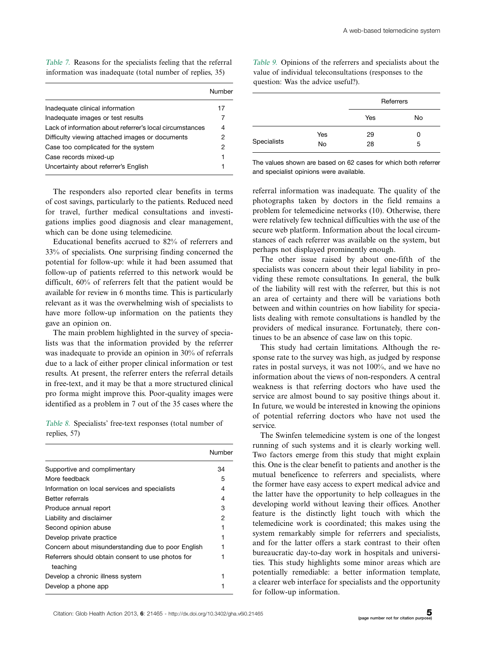Table <sup>7</sup>. Reasons for the specialists feeling that the referral information was inadequate (total number of replies, 35)

|                                                          | Number |
|----------------------------------------------------------|--------|
| Inadequate clinical information                          | 17     |
| Inadequate images or test results                        |        |
| Lack of information about referrer's local circumstances | 4      |
| Difficulty viewing attached images or documents          | 2      |
| Case too complicated for the system                      | 2      |
| Case records mixed-up                                    |        |
| Uncertainty about referrer's English                     |        |

The responders also reported clear benefits in terms of cost savings, particularly to the patients. Reduced need for travel, further medical consultations and investigations implies good diagnosis and clear management, which can be done using telemedicine.

Educational benefits accrued to 82% of referrers and 33% of specialists. One surprising finding concerned the potential for follow-up: while it had been assumed that follow-up of patients referred to this network would be difficult, 60% of referrers felt that the patient would be available for review in 6 months time. This is particularly relevant as it was the overwhelming wish of specialists to have more follow-up information on the patients they gave an opinion on.

The main problem highlighted in the survey of specialists was that the information provided by the referrer was inadequate to provide an opinion in 30% of referrals due to a lack of either proper clinical information or test results. At present, the referrer enters the referral details in free-text, and it may be that a more structured clinical pro forma might improve this. Poor-quality images were identified as a problem in 7 out of the 35 cases where the

Table 8. Specialists' free-text responses (total number of replies, 57)

|                                                               | Number |
|---------------------------------------------------------------|--------|
| Supportive and complimentary                                  | 34     |
| More feedback                                                 | 5      |
| Information on local services and specialists                 | 4      |
| <b>Better referrals</b>                                       | 4      |
| Produce annual report                                         | 3      |
| Liability and disclaimer                                      | 2      |
| Second opinion abuse                                          |        |
| Develop private practice                                      |        |
| Concern about misunderstanding due to poor English            |        |
| Referrers should obtain consent to use photos for<br>teaching |        |
| Develop a chronic illness system                              |        |
| Develop a phone app                                           |        |

Table 9. Opinions of the referrers and specialists about the value of individual teleconsultations (responses to the question: Was the advice useful?).

|             |     | Referrers |    |
|-------------|-----|-----------|----|
|             |     | Yes       | No |
|             | Yes | 29        | 0  |
| Specialists | No  | 28        | 5  |

The values shown are based on 62 cases for which both referrer and specialist opinions were available.

referral information was inadequate. The quality of the photographs taken by doctors in the field remains a problem for telemedicine networks (10). Otherwise, there were relatively few technical difficulties with the use of the secure web platform. Information about the local circumstances of each referrer was available on the system, but perhaps not displayed prominently enough.

The other issue raised by about one-fifth of the specialists was concern about their legal liability in providing these remote consultations. In general, the bulk of the liability will rest with the referrer, but this is not an area of certainty and there will be variations both between and within countries on how liability for specialists dealing with remote consultations is handled by the providers of medical insurance. Fortunately, there continues to be an absence of case law on this topic.

This study had certain limitations. Although the response rate to the survey was high, as judged by response rates in postal surveys, it was not 100%, and we have no information about the views of non-responders. A central weakness is that referring doctors who have used the service are almost bound to say positive things about it. In future, we would be interested in knowing the opinions of potential referring doctors who have not used the service.

The Swinfen telemedicine system is one of the longest running of such systems and it is clearly working well. Two factors emerge from this study that might explain this. One is the clear benefit to patients and another is the mutual beneficence to referrers and specialists, where the former have easy access to expert medical advice and the latter have the opportunity to help colleagues in the developing world without leaving their offices. Another feature is the distinctly light touch with which the telemedicine work is coordinated; this makes using the system remarkably simple for referrers and specialists, and for the latter offers a stark contrast to their often bureaucratic day-to-day work in hospitals and universities. This study highlights some minor areas which are potentially remediable: a better information template, a clearer web interface for specialists and the opportunity for follow-up information.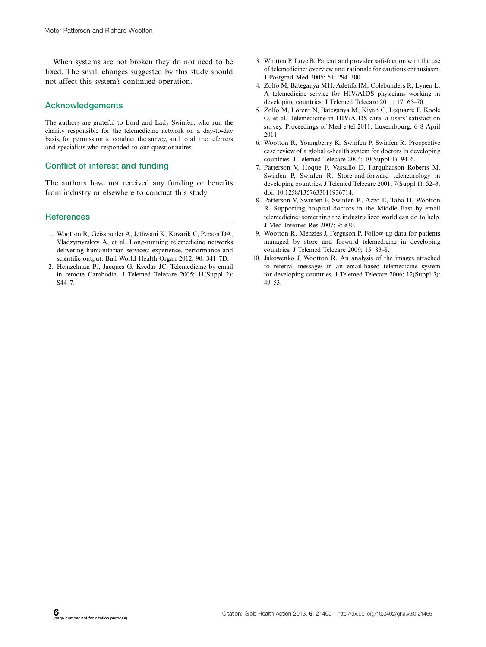When systems are not broken they do not need to be fixed. The small changes suggested by this study should not affect this system's continued operation.

## Acknowledgements

The authors are grateful to Lord and Lady Swinfen, who run the charity responsible for the telemedicine network on a day-to-day basis, for permission to conduct the survey, and to all the referrers and specialists who responded to our questionnaires.

## Conflict of interest and funding

The authors have not received any funding or benefits from industry or elsewhere to conduct this study

### **References**

- 1. Wootton R, Geissbuhler A, Jethwani K, Kovarik C, Person DA, Vladzymyrskyy A, et al. Long-running telemedicine networks delivering humanitarian services: experience, performance and scientific output. Bull World Health Organ 2012; 90: 341-7D.
- 2. Heinzelman PJ, Jacques G, Kvedar JC. Telemedicine by email in remote Cambodia. J Telemed Telecare 2005; 11(Suppl 2): S44-7.
- 3. Whitten P, Love B. Patient and provider satisfaction with the use of telemedicine: overview and rationale for cautious enthusiasm. J Postgrad Med 2005; 51: 294-300.
- 4. Zolfo M, Bateganya MH, Adetifa IM, Colebunders R, Lynen L. A telemedicine service for HIV/AIDS physicians working in developing countries. J Telemed Telecare 2011; 17: 65-70.
- 5. Zolfo M, Lorent N, Bateganya M, Kiyan C, Lequarré F, Koole O, et al. Telemedicine in HIV/AIDS care: a users' satisfaction survey. Proceedings of Med-e-tel 2011, Luxembourg, 6-8 April 2011.
- 6. Wootton R, Youngberry K, Swinfen P, Swinfen R. Prospective case review of a global e-health system for doctors in developing countries. J Telemed Telecare 2004; 10(Suppl 1): 94-6.
- 7. Patterson V, Hoque F, Vassallo D, Farquharson Roberts M, Swinfen P, Swinfen R. Store-and-forward teleneurology in developing countries. J Telemed Telecare 2001; 7(Suppl 1): 52-3. doi: 10.1258/1357633011936714.
- 8. Patterson V, Swinfen P, Swinfen R, Azzo E, Taha H, Wootton R. Supporting hospital doctors in the Middle East by email telemedicine: something the industrialized world can do to help. J Med Internet Res 2007; 9: e30.
- 9. Wootton R, Menzies J, Ferguson P. Follow-up data for patients managed by store and forward telemedicine in developing countries. J Telemed Telecare 2009; 15: 83-8.
- 10. Jakowenko J, Wootton R. An analysis of the images attached to referral messages in an email-based telemedicine system for developing countries. J Telemed Telecare 2006; 12(Suppl 3): 49-53.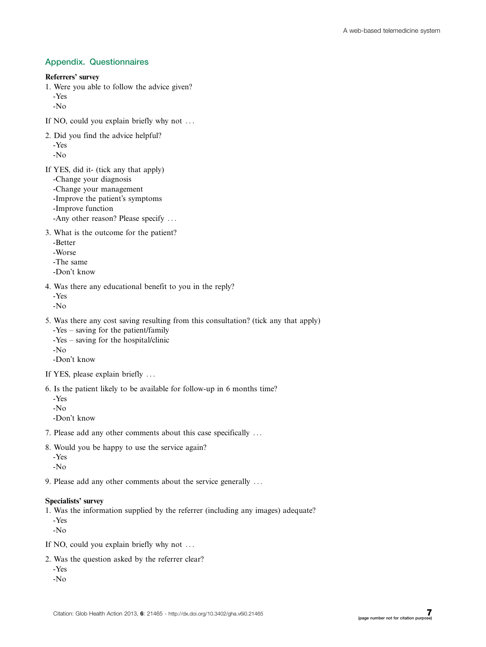# Appendix. Questionnaires

### Referrers' survey

- 1. Were you able to follow the advice given?
	- -Yes

-No

- If NO, could you explain briefly why not ...
- 2. Did you find the advice helpful?

-Yes -No

If YES, did it- (tick any that apply)

- -Change your diagnosis -Change your management
- -Improve the patient's symptoms
- -Improve function
- -Any other reason? Please specify ...
- 3. What is the outcome for the patient?

-Better

-Worse

-The same

- -Don't know
- 4. Was there any educational benefit to you in the reply?
	- -Yes

-No

- 5. Was there any cost saving resulting from this consultation? (tick any that apply)
	- -Yes saving for the patient/family
	- -Yes saving for the hospital/clinic
	- -No
	- -Don't know
- If YES, please explain briefly ...
- 6. Is the patient likely to be available for follow-up in 6 months time?

-Yes

-No

-Don't know

- 7. Please add any other comments about this case specifically ...
- 8. Would you be happy to use the service again?

-Yes

-No

9. Please add any other comments about the service generally ...

# Specialists' survey

1. Was the information supplied by the referrer (including any images) adequate?

-Yes

-No

- If NO, could you explain briefly why not ...
- 2. Was the question asked by the referrer clear?
	- -Yes
	- -No